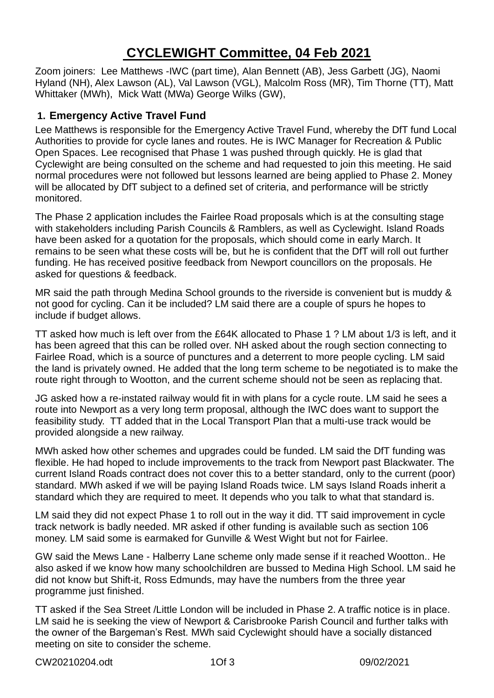# **CYCLEWIGHT Committee, 04 Feb 2021**

Zoom joiners: Lee Matthews -IWC (part time), Alan Bennett (AB), Jess Garbett (JG), Naomi Hyland (NH), Alex Lawson (AL), Val Lawson (VGL), Malcolm Ross (MR), Tim Thorne (TT), Matt Whittaker (MWh), Mick Watt (MWa) George Wilks (GW),

# **1. Emergency Active Travel Fund**

Lee Matthews is responsible for the Emergency Active Travel Fund, whereby the DfT fund Local Authorities to provide for cycle lanes and routes. He is IWC Manager for Recreation & Public Open Spaces. Lee recognised that Phase 1 was pushed through quickly. He is glad that Cyclewight are being consulted on the scheme and had requested to join this meeting. He said normal procedures were not followed but lessons learned are being applied to Phase 2. Money will be allocated by DfT subject to a defined set of criteria, and performance will be strictly monitored.

The Phase 2 application includes the Fairlee Road proposals which is at the consulting stage with stakeholders including Parish Councils & Ramblers, as well as Cyclewight. Island Roads have been asked for a quotation for the proposals, which should come in early March. It remains to be seen what these costs will be, but he is confident that the DfT will roll out further funding. He has received positive feedback from Newport councillors on the proposals. He asked for questions & feedback.

MR said the path through Medina School grounds to the riverside is convenient but is muddy & not good for cycling. Can it be included? LM said there are a couple of spurs he hopes to include if budget allows.

TT asked how much is left over from the £64K allocated to Phase 1 ? LM about 1/3 is left, and it has been agreed that this can be rolled over. NH asked about the rough section connecting to Fairlee Road, which is a source of punctures and a deterrent to more people cycling. LM said the land is privately owned. He added that the long term scheme to be negotiated is to make the route right through to Wootton, and the current scheme should not be seen as replacing that.

JG asked how a re-instated railway would fit in with plans for a cycle route. LM said he sees a route into Newport as a very long term proposal, although the IWC does want to support the feasibility study. TT added that in the Local Transport Plan that a multi-use track would be provided alongside a new railway.

MWh asked how other schemes and upgrades could be funded. LM said the DfT funding was flexible. He had hoped to include improvements to the track from Newport past Blackwater. The current Island Roads contract does not cover this to a better standard, only to the current (poor) standard. MWh asked if we will be paying Island Roads twice. LM says Island Roads inherit a standard which they are required to meet. It depends who you talk to what that standard is.

LM said they did not expect Phase 1 to roll out in the way it did. TT said improvement in cycle track network is badly needed. MR asked if other funding is available such as section 106 money. LM said some is earmaked for Gunville & West Wight but not for Fairlee.

GW said the Mews Lane - Halberry Lane scheme only made sense if it reached Wootton.. He also asked if we know how many schoolchildren are bussed to Medina High School. LM said he did not know but Shift-it, Ross Edmunds, may have the numbers from the three year programme just finished.

TT asked if the Sea Street /Little London will be included in Phase 2. A traffic notice is in place. LM said he is seeking the view of Newport & Carisbrooke Parish Council and further talks with the owner of the Bargeman's Rest. MWh said Cyclewight should have a socially distanced meeting on site to consider the scheme.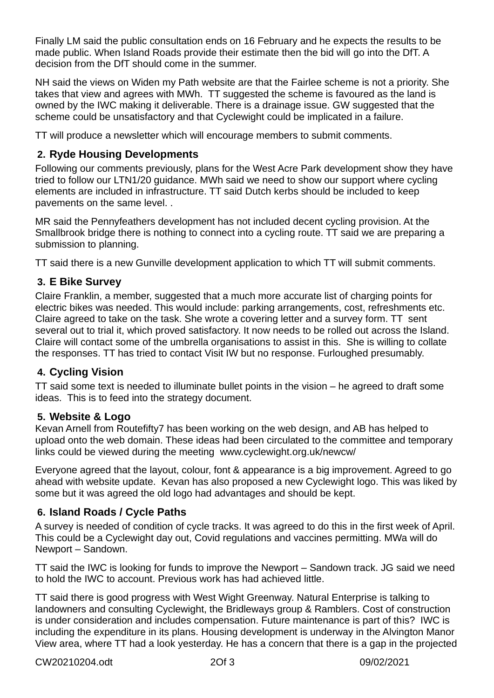Finally LM said the public consultation ends on 16 February and he expects the results to be made public. When Island Roads provide their estimate then the bid will go into the DfT. A decision from the DfT should come in the summer.

NH said the views on Widen my Path website are that the Fairlee scheme is not a priority. She takes that view and agrees with MWh. TT suggested the scheme is favoured as the land is owned by the IWC making it deliverable. There is a drainage issue. GW suggested that the scheme could be unsatisfactory and that Cyclewight could be implicated in a failure.

TT will produce a newsletter which will encourage members to submit comments.

### **2. Ryde Housing Developments**

Following our comments previously, plans for the West Acre Park development show they have tried to follow our LTN1/20 guidance. MWh said we need to show our support where cycling elements are included in infrastructure. TT said Dutch kerbs should be included to keep pavements on the same level. .

MR said the Pennyfeathers development has not included decent cycling provision. At the Smallbrook bridge there is nothing to connect into a cycling route. TT said we are preparing a submission to planning.

TT said there is a new Gunville development application to which TT will submit comments.

#### **3. E Bike Survey**

Claire Franklin, a member, suggested that a much more accurate list of charging points for electric bikes was needed. This would include: parking arrangements, cost, refreshments etc. Claire agreed to take on the task. She wrote a covering letter and a survey form. TT sent several out to trial it, which proved satisfactory. It now needs to be rolled out across the Island. Claire will contact some of the umbrella organisations to assist in this. She is willing to collate the responses. TT has tried to contact Visit IW but no response. Furloughed presumably.

### **4. Cycling Vision**

TT said some text is needed to illuminate bullet points in the vision – he agreed to draft some ideas. This is to feed into the strategy document.

#### **5. Website & Logo**

Kevan Arnell from Routefifty7 has been working on the web design, and AB has helped to upload onto the web domain. These ideas had been circulated to the committee and temporary links could be viewed during the meeting www.cyclewight.org.uk/newcw/

Everyone agreed that the layout, colour, font & appearance is a big improvement. Agreed to go ahead with website update. Kevan has also proposed a new Cyclewight logo. This was liked by some but it was agreed the old logo had advantages and should be kept.

### **6. Island Roads / Cycle Paths**

A survey is needed of condition of cycle tracks. It was agreed to do this in the first week of April. This could be a Cyclewight day out, Covid regulations and vaccines permitting. MWa will do Newport – Sandown.

TT said the IWC is looking for funds to improve the Newport – Sandown track. JG said we need to hold the IWC to account. Previous work has had achieved little.

TT said there is good progress with West Wight Greenway. Natural Enterprise is talking to landowners and consulting Cyclewight, the Bridleways group & Ramblers. Cost of construction is under consideration and includes compensation. Future maintenance is part of this? IWC is including the expenditure in its plans. Housing development is underway in the Alvington Manor View area, where TT had a look yesterday. He has a concern that there is a gap in the projected